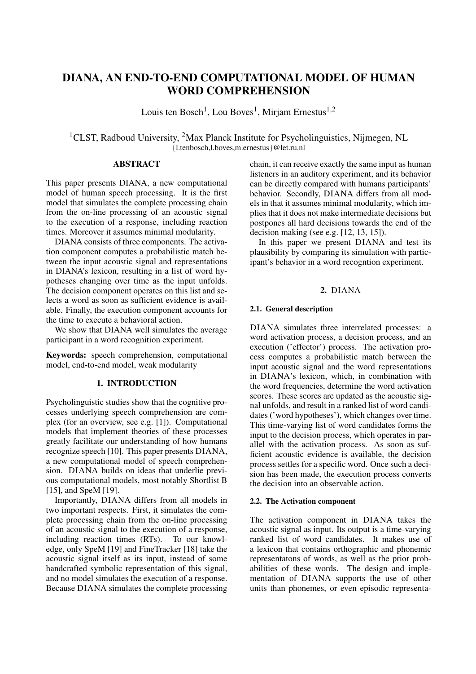# DIANA, AN END-TO-END COMPUTATIONAL MODEL OF HUMAN WORD COMPREHENSION

Louis ten Bosch<sup>1</sup>, Lou Boves<sup>1</sup>, Mirjam Ernestus<sup>1,2</sup>

<sup>1</sup>CLST, Radboud University, <sup>2</sup>Max Planck Institute for Psycholinguistics, Nijmegen, NL {l.tenbosch,l.boves,m.ernestus}@let.ru.nl

## ABSTRACT

This paper presents DIANA, a new computational model of human speech processing. It is the first model that simulates the complete processing chain from the on-line processing of an acoustic signal to the execution of a response, including reaction times. Moreover it assumes minimal modularity.

DIANA consists of three components. The activation component computes a probabilistic match between the input acoustic signal and representations in DIANA's lexicon, resulting in a list of word hypotheses changing over time as the input unfolds. The decision component operates on this list and selects a word as soon as sufficient evidence is available. Finally, the execution component accounts for the time to execute a behavioral action.

We show that DIANA well simulates the average participant in a word recognition experiment.

Keywords: speech comprehension, computational model, end-to-end model, weak modularity

## 1. INTRODUCTION

Psycholinguistic studies show that the cognitive processes underlying speech comprehension are complex (for an overview, see e.g. [1]). Computational models that implement theories of these processes greatly facilitate our understanding of how humans recognize speech [10]. This paper presents DIANA, a new computational model of speech comprehension. DIANA builds on ideas that underlie previous computational models, most notably Shortlist B [15], and SpeM [19].

Importantly, DIANA differs from all models in two important respects. First, it simulates the complete processing chain from the on-line processing of an acoustic signal to the execution of a response, including reaction times (RTs). To our knowledge, only SpeM [19] and FineTracker [18] take the acoustic signal itself as its input, instead of some handcrafted symbolic representation of this signal, and no model simulates the execution of a response. Because DIANA simulates the complete processing chain, it can receive exactly the same input as human listeners in an auditory experiment, and its behavior can be directly compared with humans participants' behavior. Secondly, DIANA differs from all models in that it assumes minimal modularity, which implies that it does not make intermediate decisions but postpones all hard decisions towards the end of the decision making (see e.g. [12, 13, 15]).

In this paper we present DIANA and test its plausibility by comparing its simulation with participant's behavior in a word recogntion experiment.

## 2. DIANA

## 2.1. General description

DIANA simulates three interrelated processes: a word activation process, a decision process, and an execution ('effector') process. The activation process computes a probabilistic match between the input acoustic signal and the word representations in DIANA's lexicon, which, in combination with the word frequencies, determine the word activation scores. These scores are updated as the acoustic signal unfolds, and result in a ranked list of word candidates ('word hypotheses'), which changes over time. This time-varying list of word candidates forms the input to the decision process, which operates in parallel with the activation process. As soon as sufficient acoustic evidence is available, the decision process settles for a specific word. Once such a decision has been made, the execution process converts the decision into an observable action.

## 2.2. The Activation component

The activation component in DIANA takes the acoustic signal as input. Its output is a time-varying ranked list of word candidates. It makes use of a lexicon that contains orthographic and phonemic representatons of words, as well as the prior probabilities of these words. The design and implementation of DIANA supports the use of other units than phonemes, or even episodic representa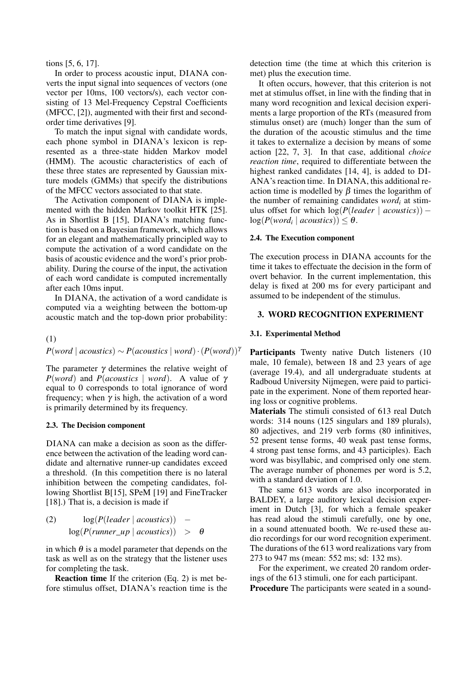tions [5, 6, 17].

In order to process acoustic input, DIANA converts the input signal into sequences of vectors (one vector per 10ms, 100 vectors/s), each vector consisting of 13 Mel-Frequency Cepstral Coefficients (MFCC, [2]), augmented with their first and secondorder time derivatives [9].

To match the input signal with candidate words, each phone symbol in DIANA's lexicon is represented as a three-state hidden Markov model (HMM). The acoustic characteristics of each of these three states are represented by Gaussian mixture models (GMMs) that specify the distributions of the MFCC vectors associated to that state.

The Activation component of DIANA is implemented with the hidden Markov toolkit HTK [25]. As in Shortlist B [15], DIANA's matching function is based on a Bayesian framework, which allows for an elegant and mathematically principled way to compute the activation of a word candidate on the basis of acoustic evidence and the word's prior probability. During the course of the input, the activation of each word candidate is computed incrementally after each 10ms input.

In DIANA, the activation of a word candidate is computed via a weighting between the bottom-up acoustic match and the top-down prior probability:

## (1)  $P(word \mid acoustics) \sim P(acoustics \mid word) \cdot (P(word))^{\gamma}$

The parameter  $\gamma$  determines the relative weight of *P*(*word*) and *P*(*acoustics* | *word*). A value of γ equal to 0 corresponds to total ignorance of word frequency; when  $\gamma$  is high, the activation of a word is primarily determined by its frequency.

## 2.3. The Decision component

DIANA can make a decision as soon as the difference between the activation of the leading word candidate and alternative runner-up candidates exceed a threshold. (In this competition there is no lateral inhibition between the competing candidates, following Shortlist B[15], SPeM [19] and FineTracker [18].) That is, a decision is made if

(2) 
$$
\log(P(leader \mid acoustics)) - \log(P(runner\_up \mid acoustics)) > \theta
$$

in which  $\theta$  is a model parameter that depends on the task as well as on the strategy that the listener uses for completing the task.

Reaction time If the criterion (Eq. 2) is met before stimulus offset, DIANA's reaction time is the detection time (the time at which this criterion is met) plus the execution time.

It often occurs, however, that this criterion is not met at stimulus offset, in line with the finding that in many word recognition and lexical decision experiments a large proportion of the RTs (measured from stimulus onset) are (much) longer than the sum of the duration of the acoustic stimulus and the time it takes to externalize a decision by means of some action [22, 7, 3]. In that case, additional *choice reaction time*, required to differentiate between the highest ranked candidates [14, 4], is added to DI-ANA's reaction time. In DIANA, this additional reaction time is modelled by  $\beta$  times the logarithm of the number of remaining candidates *word<sup>i</sup>* at stimulus offset for which log(*P*(*leader* | *acoustics*)) −  $log(P(word_i | \text{ a}\text{counts})) \leq \theta.$ 

## 2.4. The Execution component

The execution process in DIANA accounts for the time it takes to effectuate the decision in the form of overt behavior. In the current implementation, this delay is fixed at 200 ms for every participant and assumed to be independent of the stimulus.

## 3. WORD RECOGNITION EXPERIMENT

#### 3.1. Experimental Method

Participants Twenty native Dutch listeners (10) male, 10 female), between 18 and 23 years of age (average 19.4), and all undergraduate students at Radboud University Nijmegen, were paid to participate in the experiment. None of them reported hearing loss or cognitive problems.

Materials The stimuli consisted of 613 real Dutch words: 314 nouns (125 singulars and 189 plurals), 80 adjectives, and 219 verb forms (80 infinitives, 52 present tense forms, 40 weak past tense forms, 4 strong past tense forms, and 43 participles). Each word was bisyllabic, and comprised only one stem. The average number of phonemes per word is 5.2, with a standard deviation of 1.0.

The same 613 words are also incorporated in BALDEY, a large auditory lexical decision experiment in Dutch [3], for which a female speaker has read aloud the stimuli carefully, one by one, in a sound attenuated booth. We re-used these audio recordings for our word recognition experiment. The durations of the 613 word realizations vary from 273 to 947 ms (mean: 552 ms; sd: 132 ms).

For the experiment, we created 20 random orderings of the 613 stimuli, one for each participant. Procedure The participants were seated in a sound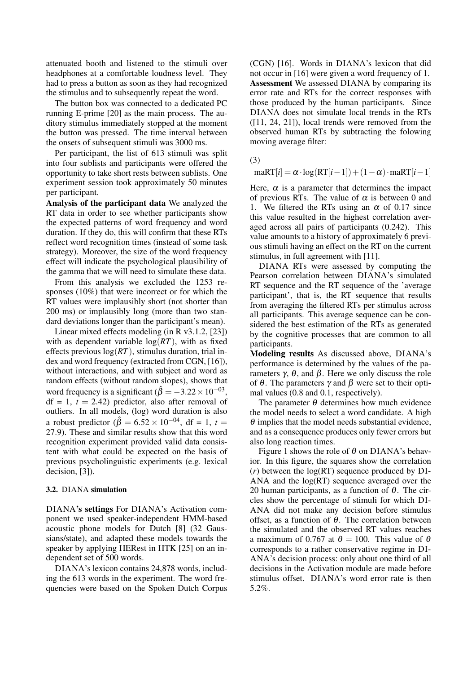attenuated booth and listened to the stimuli over headphones at a comfortable loudness level. They had to press a button as soon as they had recognized the stimulus and to subsequently repeat the word.

The button box was connected to a dedicated PC running E-prime [20] as the main process. The auditory stimulus immediately stopped at the moment the button was pressed. The time interval between the onsets of subsequent stimuli was 3000 ms.

Per participant, the list of 613 stimuli was split into four sublists and participants were offered the opportunity to take short rests between sublists. One experiment session took approximately 50 minutes per participant.

Analysis of the participant data We analyzed the RT data in order to see whether participants show the expected patterns of word frequency and word duration. If they do, this will confirm that these RTs reflect word recognition times (instead of some task strategy). Moreover, the size of the word frequency effect will indicate the psychological plausibility of the gamma that we will need to simulate these data.

From this analysis we excluded the 1253 responses (10%) that were incorrect or for which the RT values were implausibly short (not shorter than 200 ms) or implausibly long (more than two standard deviations longer than the participant's mean).

Linear mixed effects modeling (in R v3.1.2, [23]) with as dependent variable  $log(RT)$ , with as fixed effects previous log(*RT*), stimulus duration, trial index and word frequency (extracted from CGN, [16]), without interactions, and with subject and word as random effects (without random slopes), shows that word frequency is a significant ( $\hat{\beta} = -3.22 \times 10^{-03}$ ,  $df = 1$ ,  $t = 2.42$ ) predictor, also after removal of outliers. In all models, (log) word duration is also a robust predictor ( $\hat{\beta} = 6.52 \times 10^{-04}$ , df = 1, *t* = 27.9). These and similar results show that this word recognition experiment provided valid data consistent with what could be expected on the basis of previous psycholinguistic experiments (e.g. lexical decision, [3]).

## 3.2. DIANA simulation

DIANA's settings For DIANA's Activation component we used speaker-independent HMM-based acoustic phone models for Dutch [8] (32 Gaussians/state), and adapted these models towards the speaker by applying HERest in HTK [25] on an independent set of 500 words.

DIANA's lexicon contains 24,878 words, including the 613 words in the experiment. The word frequencies were based on the Spoken Dutch Corpus (CGN) [16]. Words in DIANA's lexicon that did not occur in [16] were given a word frequency of 1. Assessment We assessed DIANA by comparing its error rate and RTs for the correct responses with those produced by the human participants. Since DIANA does not simulate local trends in the RTs ([11, 24, 21]), local trends were removed from the observed human RTs by subtracting the folowing moving average filter:

(3)

 $\text{max}[i] = \alpha \cdot \log(RT[i-1]) + (1-\alpha) \cdot \text{max}[i-1]$ 

Here,  $\alpha$  is a parameter that determines the impact of previous RTs. The value of  $\alpha$  is between 0 and 1. We filtered the RTs using an  $\alpha$  of 0.17 since this value resulted in the highest correlation averaged across all pairs of participants (0.242). This value amounts to a history of approximately 6 previous stimuli having an effect on the RT on the current stimulus, in full agreement with [11].

DIANA RTs were assessed by computing the Pearson correlation between DIANA's simulated RT sequence and the RT sequence of the 'average participant', that is, the RT sequence that results from averaging the filtered RTs per stimulus across all participants. This average sequence can be considered the best estimation of the RTs as generated by the cognitive processes that are common to all participants.

Modeling results As discussed above, DIANA's performance is determined by the values of the parameters γ, θ, and β. Here we only discuss the role of θ. The parameters  $γ$  and  $β$  were set to their optimal values (0.8 and 0.1, respectively).

The parameter  $\theta$  determines how much evidence the model needs to select a word candidate. A high  $\theta$  implies that the model needs substantial evidence, and as a consequence produces only fewer errors but also long reaction times.

Figure 1 shows the role of  $\theta$  on DIANA's behavior. In this figure, the squares show the correlation (*r*) between the log(RT) sequence produced by DI-ANA and the log(RT) sequence averaged over the 20 human participants, as a function of  $\theta$ . The circles show the percentage of stimuli for which DI-ANA did not make any decision before stimulus offset, as a function of θ. The correlation between the simulated and the observed RT values reaches a maximum of 0.767 at  $\theta = 100$ . This value of  $\theta$ corresponds to a rather conservative regime in DI-ANA's decision process: only about one third of all decisions in the Activation module are made before stimulus offset. DIANA's word error rate is then 5.2%.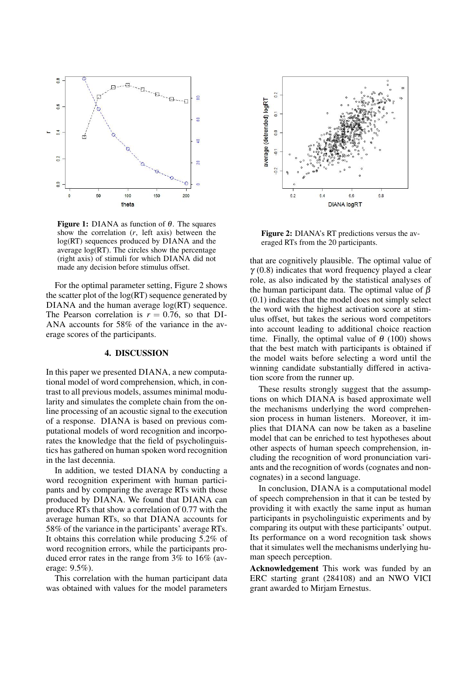

**Figure 1:** DIANA as function of  $\theta$ . The squares show the correlation (*r*, left axis) between the log(RT) sequences produced by DIANA and the average log(RT). The circles show the percentage (right axis) of stimuli for which DIANA did not made any decision before stimulus offset.

For the optimal parameter setting, Figure 2 shows the scatter plot of the  $log(RT)$  sequence generated by DIANA and the human average  $log(RT)$  sequence. The Pearson correlation is  $r = 0.76$ , so that DI-ANA accounts for 58% of the variance in the average scores of the participants.

## 4. DISCUSSION

In this paper we presented DIANA, a new computational model of word comprehension, which, in contrast to all previous models, assumes minimal modularity and simulates the complete chain from the online processing of an acoustic signal to the execution of a response. DIANA is based on previous computational models of word recognition and incorporates the knowledge that the field of psycholinguistics has gathered on human spoken word recognition in the last decennia.

In addition, we tested DIANA by conducting a word recognition experiment with human participants and by comparing the average RTs with those produced by DIANA. We found that DIANA can produce RTs that show a correlation of 0.77 with the average human RTs, so that DIANA accounts for 58% of the variance in the participants' average RTs. It obtains this correlation while producing 5.2% of word recognition errors, while the participants produced error rates in the range from 3% to 16% (average: 9.5%).

This correlation with the human participant data was obtained with values for the model parameters



Figure 2: DIANA's RT predictions versus the averaged RTs from the 20 participants.

that are cognitively plausible. The optimal value of  $\gamma$  (0.8) indicates that word frequency played a clear role, as also indicated by the statistical analyses of the human participant data. The optimal value of  $\beta$ (0.1) indicates that the model does not simply select the word with the highest activation score at stimulus offset, but takes the serious word competitors into account leading to additional choice reaction time. Finally, the optimal value of  $\theta$  (100) shows that the best match with participants is obtained if the model waits before selecting a word until the winning candidate substantially differed in activation score from the runner up.

These results strongly suggest that the assumptions on which DIANA is based approximate well the mechanisms underlying the word comprehension process in human listeners. Moreover, it implies that DIANA can now be taken as a baseline model that can be enriched to test hypotheses about other aspects of human speech comprehension, including the recognition of word pronunciation variants and the recognition of words (cognates and noncognates) in a second language.

In conclusion, DIANA is a computational model of speech comprehension in that it can be tested by providing it with exactly the same input as human participants in psycholinguistic experiments and by comparing its output with these participants' output. Its performance on a word recognition task shows that it simulates well the mechanisms underlying human speech perception.

Acknowledgement This work was funded by an ERC starting grant (284108) and an NWO VICI grant awarded to Mirjam Ernestus.